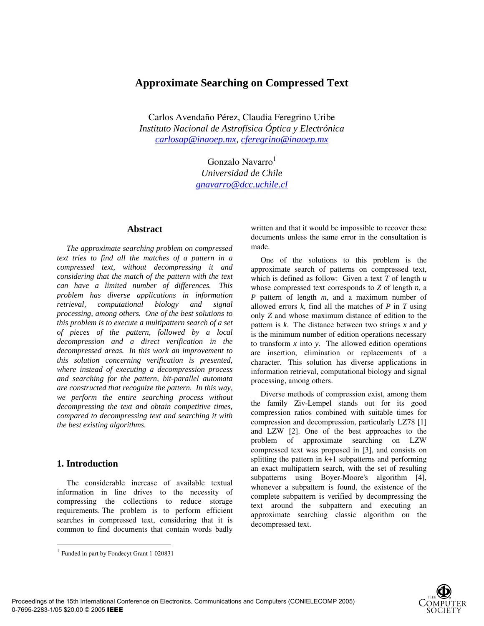# **Approximate Searching on Compressed Text**

Carlos Avendaño Pérez, Claudia Feregrino Uribe *Instituto Nacional de Astrofísica Óptica y Electrónica carlosap@inaoep.mx, cferegrino@inaoep.mx*

> Gonzalo Navarro $<sup>1</sup>$ </sup> *Universidad de Chile gnavarro@dcc.uchile.cl*

#### **Abstract**

*The approximate searching problem on compressed text tries to find all the matches of a pattern in a compressed text, without decompressing it and considering that the match of the pattern with the text can have a limited number of differences. This problem has diverse applications in information retrieval, computational biology and signal processing, among others. One of the best solutions to this problem is to execute a multipattern search of a set of pieces of the pattern, followed by a local decompression and a direct verification in the decompressed areas. In this work an improvement to this solution concerning verification is presented, where instead of executing a decompression process and searching for the pattern, bit-parallel automata are constructed that recognize the pattern. In this way, we perform the entire searching process without decompressing the text and obtain competitive times, compared to decompressing text and searching it with the best existing algorithms.* 

## **1. Introduction**

The considerable increase of available textual information in line drives to the necessity of compressing the collections to reduce storage requirements. The problem is to perform efficient searches in compressed text, considering that it is common to find documents that contain words badly written and that it would be impossible to recover these documents unless the same error in the consultation is made.

One of the solutions to this problem is the approximate search of patterns on compressed text, which is defined as follow: Given a text *T* of length *u* whose compressed text corresponds to *Z* of length *n*, a *P* pattern of length *m*, and a maximum number of allowed errors *k*, find all the matches of *P* in *T* using only *Z* and whose maximum distance of edition to the pattern is *k*. The distance between two strings *x* and *y* is the minimum number of edition operations necessary to transform *x* into *y*. The allowed edition operations are insertion, elimination or replacements of a character. This solution has diverse applications in information retrieval, computational biology and signal processing, among others.

Diverse methods of compression exist, among them the family Ziv-Lempel stands out for its good compression ratios combined with suitable times for compression and decompression, particularly LZ78 [1] and LZW [2]. One of the best approaches to the problem of approximate searching on LZW compressed text was proposed in [3], and consists on splitting the pattern in *k*+1 subpatterns and performing an exact multipattern search, with the set of resulting subpatterns using Boyer-Moore's algorithm [4], whenever a subpattern is found, the existence of the complete subpattern is verified by decompressing the text around the subpattern and executing an approximate searching classic algorithm on the decompressed text.



<sup>1</sup> Funded in part by Fondecyt Grant 1-020831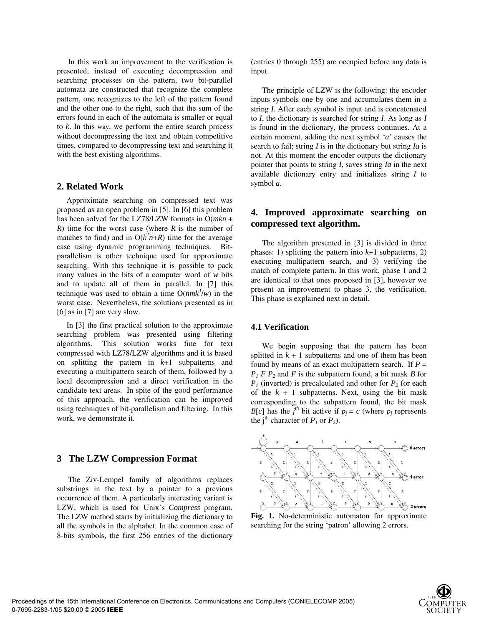In this work an improvement to the verification is presented, instead of executing decompression and searching processes on the pattern, two bit-parallel automata are constructed that recognize the complete pattern, one recognizes to the left of the pattern found and the other one to the right, such that the sum of the errors found in each of the automata is smaller or equal to *k*. In this way, we perform the entire search process without decompressing the text and obtain competitive times, compared to decompressing text and searching it with the best existing algorithms.

## **2. Related Work**

Approximate searching on compressed text was proposed as an open problem in [5]. In [6] this problem has been solved for the LZ78/LZW formats in O(*mkn* + *R*) time for the worst case (where *R* is the number of matches to find) and in  $O(k^2n+R)$  time for the average case using dynamic programming techniques. Bitparallelism is other technique used for approximate searching. With this technique it is possible to pack many values in the bits of a computer word of *w* bits and to update all of them in parallel. In [7] this technique was used to obtain a time  $O(nmk^3/w)$  in the worst case. Nevertheless, the solutions presented as in [6] as in [7] are very slow.

In [3] the first practical solution to the approximate searching problem was presented using filtering algorithms. This solution works fine for text compressed with LZ78/LZW algorithms and it is based on splitting the pattern in *k*+1 subpatterns and executing a multipattern search of them, followed by a local decompression and a direct verification in the candidate text areas. In spite of the good performance of this approach, the verification can be improved using techniques of bit-parallelism and filtering. In this work, we demonstrate it.

### **3 The LZW Compression Format**

The Ziv-Lempel family of algorithms replaces substrings in the text by a pointer to a previous occurrence of them. A particularly interesting variant is LZW, which is used for Unix's *Compress* program. The LZW method starts by initializing the dictionary to all the symbols in the alphabet. In the common case of 8-bits symbols, the first 256 entries of the dictionary

(entries 0 through 255) are occupied before any data is input.

The principle of LZW is the following: the encoder inputs symbols one by one and accumulates them in a string *I*. After each symbol is input and is concatenated to *I*, the dictionary is searched for string *I*. As long as *I* is found in the dictionary, the process continues. At a certain moment, adding the next symbol '*a*' causes the search to fail; string *I* is in the dictionary but string *Ia* is not. At this moment the encoder outputs the dictionary pointer that points to string *I*, saves string *Ia* in the next available dictionary entry and initializes string *I* to symbol *a*.

## **4. Improved approximate searching on compressed text algorithm.**

The algorithm presented in [3] is divided in three phases: 1) splitting the pattern into  $k+1$  subpatterns, 2) executing multipattern search, and 3) verifying the match of complete pattern. In this work, phase 1 and 2 are identical to that ones proposed in [3], however we present an improvement to phase 3, the verification. This phase is explained next in detail.

#### **4.1 Verification**

We begin supposing that the pattern has been splitted in  $k + 1$  subpatterns and one of them has been found by means of an exact multipattern search. If  $P =$  $P_1$  *F P<sub>2</sub>* and *F* is the subpattern found, a bit mask *B* for  $P_1$  (inverted) is precalculated and other for  $P_2$  for each of the  $k + 1$  subpatterns. Next, using the bit mask corresponding to the subpattern found, the bit mask *B*[*c*] has the *j*<sup>th</sup> bit active if  $p_j = c$  (where  $p_j$  represents the j<sup>th</sup> character of  $P_1$  or  $P_2$ ).



**Fig. 1.** No-deterministic automaton for approximate searching for the string 'patron' allowing 2 errors.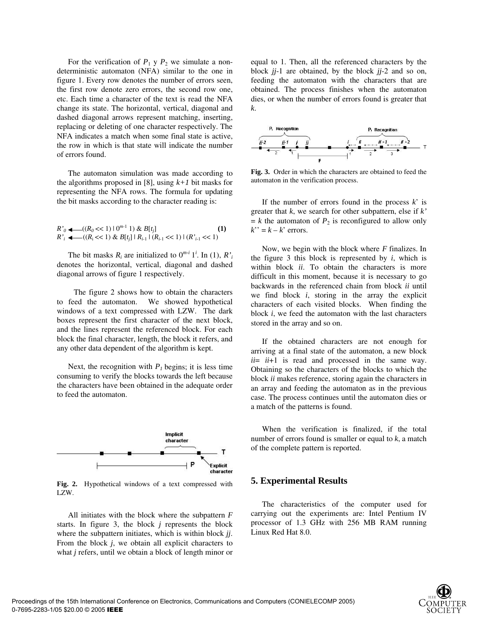For the verification of  $P_1$  y  $P_2$  we simulate a nondeterministic automaton (NFA) similar to the one in figure 1. Every row denotes the number of errors seen, the first row denote zero errors, the second row one, etc. Each time a character of the text is read the NFA change its state. The horizontal, vertical, diagonal and dashed diagonal arrows represent matching, inserting, replacing or deleting of one character respectively. The NFA indicates a match when some final state is active, the row in which is that state will indicate the number of errors found.

The automaton simulation was made according to the algorithms proposed in [8], using  $k+1$  bit masks for representing the NFA rows. The formula for updating the bit masks according to the character reading is:

$$
R'_{0} \leftarrow ((R_{0} << 1) \mid 0^{m-1} \text{ 1}) \& B[t_{j}] \tag{1}
$$
  

$$
R'_{i} \leftarrow ((R_{i} << 1) \& B[t_{j}] \mid R_{i-1} \mid (R_{i-1} << 1) \mid (R'_{i-1} << 1)
$$

The bit masks  $R_i$  are initialized to  $0^{m-i}$  1<sup>*i*</sup>. In (1),  $R_i'$ denotes the horizontal, vertical, diagonal and dashed diagonal arrows of figure 1 respectively.

The figure 2 shows how to obtain the characters to feed the automaton. We showed hypothetical windows of a text compressed with LZW. The dark boxes represent the first character of the next block, and the lines represent the referenced block. For each block the final character, length, the block it refers, and any other data dependent of the algorithm is kept.

Next, the recognition with  $P_1$  begins; it is less time consuming to verify the blocks towards the left because the characters have been obtained in the adequate order to feed the automaton.



**Fig. 2.** Hypothetical windows of a text compressed with LZW.

All initiates with the block where the subpattern *F* starts. In figure 3, the block *j* represents the block where the subpattern initiates, which is within block *jj*. From the block *j*, we obtain all explicit characters to what *j* refers, until we obtain a block of length minor or

equal to 1. Then, all the referenced characters by the block *jj*-1 are obtained, by the block *jj*-2 and so on, feeding the automaton with the characters that are obtained. The process finishes when the automaton dies, or when the number of errors found is greater that *k*.



**Fig. 3.** Order in which the characters are obtained to feed the automaton in the verification process.

If the number of errors found in the process  $k'$  is greater that *k*, we search for other subpattern, else if *k'*  $= k$  the automaton of  $P_2$  is reconfigured to allow only  $k' = k - k'$  errors.

Now, we begin with the block where *F* finalizes. In the figure  $3$  this block is represented by  $i$ , which is within block *ii*. To obtain the characters is more difficult in this moment, because it is necessary to go backwards in the referenced chain from block *ii* until we find block *i*, storing in the array the explicit characters of each visited blocks. When finding the block *i*, we feed the automaton with the last characters stored in the array and so on.

If the obtained characters are not enough for arriving at a final state of the automaton, a new block *ii*= *ii*+1 is read and processed in the same way. Obtaining so the characters of the blocks to which the block *ii* makes reference, storing again the characters in an array and feeding the automaton as in the previous case. The process continues until the automaton dies or a match of the patterns is found.

When the verification is finalized, if the total number of errors found is smaller or equal to *k*, a match of the complete pattern is reported.

### **5. Experimental Results**

The characteristics of the computer used for carrying out the experiments are: Intel Pentium IV processor of 1.3 GHz with 256 MB RAM running Linux Red Hat 8.0.